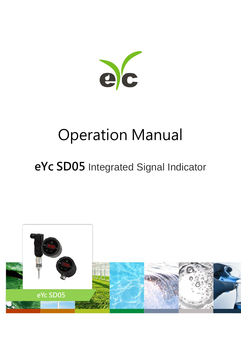

# Operation Manual

# **eYc SD05** Integrated Signal Indicator

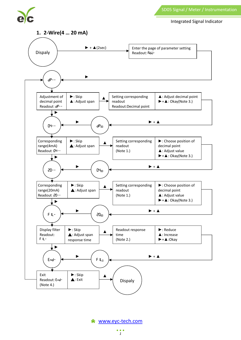SD05 Signal / Meter / Instrumentation





#### **1. 2-Wire(4 … 20 mA)**



[www.eyc-tech.com](http://www.eyc-tech.com/)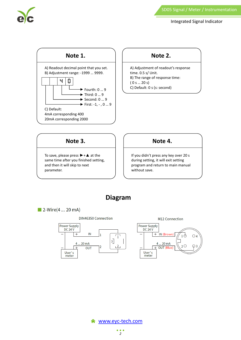

Integrated Signal Indicator



### **Note 2.**

A) Adjustment of readout's response time. 0.5 s/ Unit. B) The range of response time: ( 0 s … 20 s) C) Default: 0 s (s: second)



To save, please press  $\blacktriangleright$  +  $\blacktriangle$  at the same time after you finished setting, and then it will skip to next parameter.

**Note 4.**

If you didn't press any key over 20 s during setting, it will exit setting program and return to main manual without save.

# **Diagram**





M12 Connection

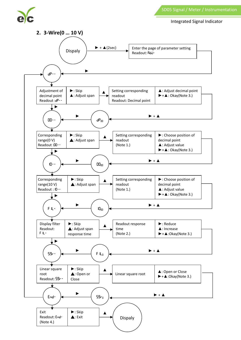

#### Integrated Signal Indicator

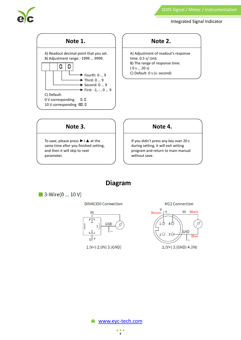

#### SD05 Signal / Meter / Instrumentation

Integrated Signal Indicator



#### **Note 2.**

A) Adjustment of readout's response time. 0.5 s/ Unit. B) The range of response time: ( 0 s … 20 s) C) Default: 0 s (s: second)

## **Note 3.**

To save, please press  $\blacktriangleright$  +  $\blacktriangle$  at the same time after you finished setting, and then it will skip to next parameter.

## **Note 4.**

If you didn't press any key over 20 s during setting, it will exit setting program and return to main manual without save.

# **Diagram**

 $\blacksquare$  3-Wire(0 ... 10 V)

**DIN46350 Connection** 



 $1.(V+) 2.(IN) 3.(GND)$